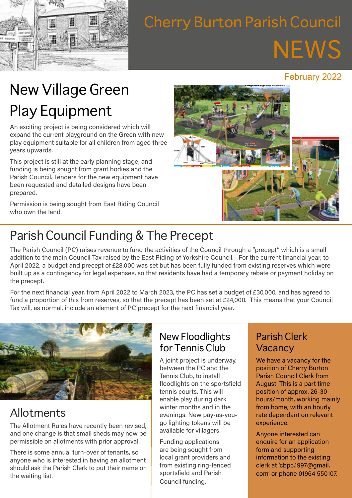

# Cherry Burton Parish Council **NEWS**

#### February 2022

# New Village Green Play Equipment

An exciting project is being considered which will expand the current playground on the Green with new play equipment suitable for all children from aged three years upwards.

This project is still at the early planning stage, and funding is being sought from grant bodies and the Parish Council. Tenders for the new equipment have been requested and detailed designs have been prepared.

Permission is being sought from East Riding Council who own the land.



# Parish Council Funding & The Precept

The Parish Council (PC) raises revenue to fund the activities of the Council through a "precept" which is a small addition to the main Council Tax raised by the East Riding of Yorkshire Council. For the current financial year, to April 2022, a budget and precept of £28,000 was set but has been fully funded from existing reserves which were built up as a contingency for legal expenses, so that residents have had a temporary rebate or payment holiday on the precept.

For the next financial year, from April 2022 to March 2023, the PC has set a budget of £30,000, and has agreed to fund a proportion of this from reserves, so that the precept has been set at £24,000. This means that your Council Tax will, as normal, include an element of PC precept for the next financial year.



## Allotments

The Allotment Rules have recently been revised, and one change is that small sheds may now be permissible on allotments with prior approval.

There is some annual turn-over of tenants, so anyone who is interested in having an allotment should ask the Parish Clerk to put their name on the waiting list.

#### New Floodlights for Tennis Club

A joint project is underway, between the PC and the Tennis Club, to install floodlights on the sportsfield tennis courts. This will enable play during dark winter months and in the evenings. New pay-as-yougo lighting tokens will be available for villagers.

Funding applications are being sought from local grant providers and from existing ring-fenced sportsfield and Parish Council funding.

#### Parish Clerk **Vacancy**

We have a vacancy for the position of Cherry Burton Parish Council Clerk from August. This is a part time position of approx. 26-30 hours/month, working mainly from home, with an hourly rate dependant on relevant experience.

Anyone interested can enquire for an application form and supporting information to the existing clerk at 'cbpc.1997@gmail. com' or phone 01964 550107.